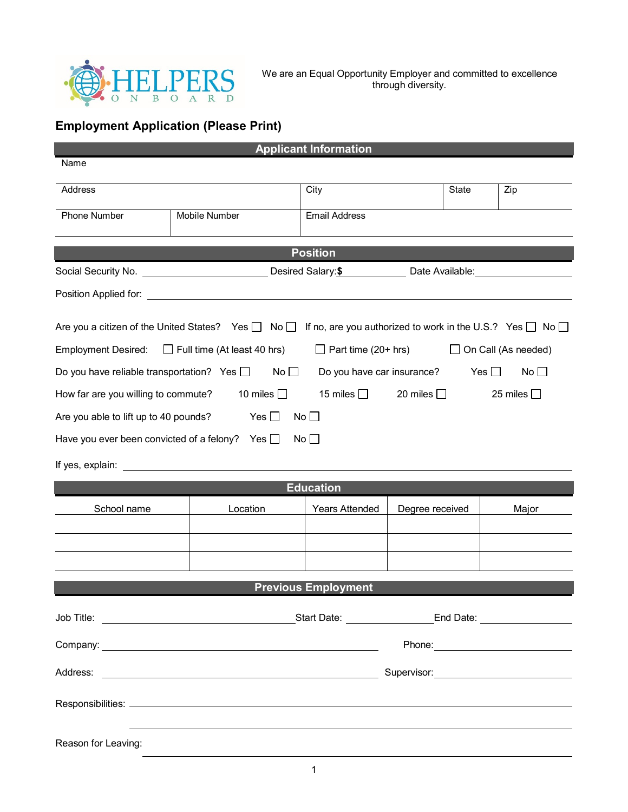

We are an Equal Opportunity Employer and committed to excellence through diversity.

## **Employment Application (Please Print)**

| <b>Applicant Information</b>                                                                                                                                                                                                  |                                                                                                       |                            |                 |     |       |  |  |  |  |  |
|-------------------------------------------------------------------------------------------------------------------------------------------------------------------------------------------------------------------------------|-------------------------------------------------------------------------------------------------------|----------------------------|-----------------|-----|-------|--|--|--|--|--|
| Name                                                                                                                                                                                                                          |                                                                                                       |                            |                 |     |       |  |  |  |  |  |
| Address                                                                                                                                                                                                                       | City                                                                                                  |                            | State           | Zip |       |  |  |  |  |  |
| <b>Phone Number</b>                                                                                                                                                                                                           | <b>Email Address</b>                                                                                  |                            |                 |     |       |  |  |  |  |  |
| <b>Position</b>                                                                                                                                                                                                               |                                                                                                       |                            |                 |     |       |  |  |  |  |  |
|                                                                                                                                                                                                                               | Social Security No. <u>Consumer Communications</u> Desired Salary: \$ Desired Salary: Date Available: |                            |                 |     |       |  |  |  |  |  |
| Position Applied for:                                                                                                                                                                                                         |                                                                                                       |                            |                 |     |       |  |  |  |  |  |
| Are you a citizen of the United States? Yes $\Box$ No $\Box$ If no, are you authorized to work in the U.S.? Yes $\Box$ No $\Box$                                                                                              |                                                                                                       |                            |                 |     |       |  |  |  |  |  |
| Employment Desired: □ Full time (At least 40 hrs)<br>$\Box$ Part time (20+ hrs)<br>On Call (As needed)                                                                                                                        |                                                                                                       |                            |                 |     |       |  |  |  |  |  |
| Do you have reliable transportation? Yes $\square$<br>No $\Box$<br>Do you have car insurance?<br>Yes $\Box$<br>No                                                                                                             |                                                                                                       |                            |                 |     |       |  |  |  |  |  |
| 10 miles $\Box$<br>15 miles $\Box$<br>20 miles $\Box$<br>25 miles $\Box$<br>How far are you willing to commute?                                                                                                               |                                                                                                       |                            |                 |     |       |  |  |  |  |  |
| Are you able to lift up to 40 pounds?                                                                                                                                                                                         | Yes $\square$                                                                                         | $\mathsf{No} \sqcup$       |                 |     |       |  |  |  |  |  |
| Have you ever been convicted of a felony? Yes $\Box$                                                                                                                                                                          |                                                                                                       | No                         |                 |     |       |  |  |  |  |  |
| If yes, explain: The state of the state of the state of the state of the state of the state of the state of the state of the state of the state of the state of the state of the state of the state of the state of the state |                                                                                                       |                            |                 |     |       |  |  |  |  |  |
|                                                                                                                                                                                                                               |                                                                                                       | <b>Education</b>           |                 |     |       |  |  |  |  |  |
| School name<br>Location                                                                                                                                                                                                       |                                                                                                       | <b>Years Attended</b>      | Degree received |     | Major |  |  |  |  |  |
|                                                                                                                                                                                                                               |                                                                                                       |                            |                 |     |       |  |  |  |  |  |
|                                                                                                                                                                                                                               |                                                                                                       |                            |                 |     |       |  |  |  |  |  |
|                                                                                                                                                                                                                               |                                                                                                       | <b>Previous Employment</b> |                 |     |       |  |  |  |  |  |
|                                                                                                                                                                                                                               |                                                                                                       |                            |                 |     |       |  |  |  |  |  |
| Phone: 2008 2010 2010 2010 2010 2010 2010 2011 2021 2021 2021 2021 2021 2021 2021 2021 2021 2021 2021 2021 20                                                                                                                 |                                                                                                       |                            |                 |     |       |  |  |  |  |  |
|                                                                                                                                                                                                                               |                                                                                                       |                            |                 |     |       |  |  |  |  |  |
|                                                                                                                                                                                                                               |                                                                                                       |                            |                 |     |       |  |  |  |  |  |
|                                                                                                                                                                                                                               |                                                                                                       |                            |                 |     |       |  |  |  |  |  |
| Reason for Leaving:                                                                                                                                                                                                           |                                                                                                       |                            |                 |     |       |  |  |  |  |  |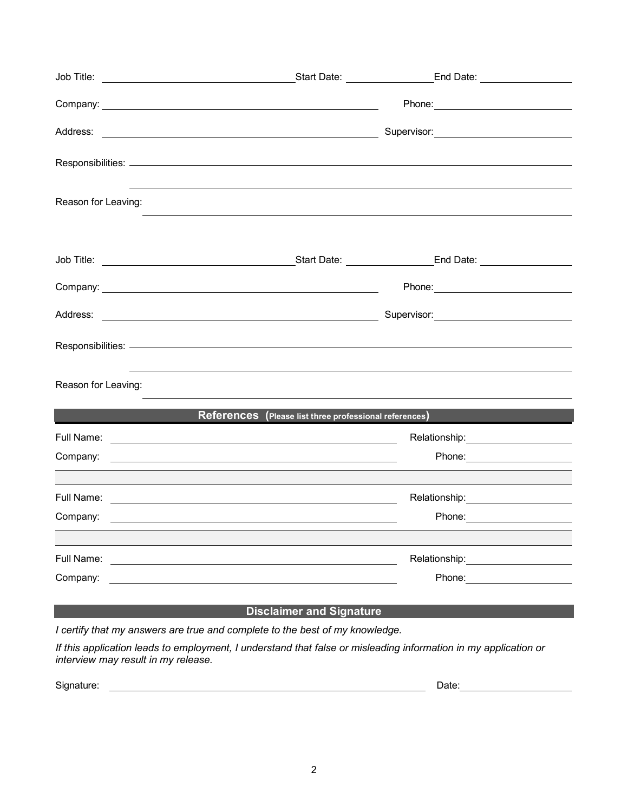| Reason for Leaving: |                                                        |                                                                                                                                                                                                                                |  |
|---------------------|--------------------------------------------------------|--------------------------------------------------------------------------------------------------------------------------------------------------------------------------------------------------------------------------------|--|
|                     |                                                        |                                                                                                                                                                                                                                |  |
|                     |                                                        |                                                                                                                                                                                                                                |  |
|                     |                                                        |                                                                                                                                                                                                                                |  |
|                     |                                                        |                                                                                                                                                                                                                                |  |
| Reason for Leaving: |                                                        |                                                                                                                                                                                                                                |  |
|                     | References (Please list three professional references) |                                                                                                                                                                                                                                |  |
|                     |                                                        | Relationship: _____________________                                                                                                                                                                                            |  |
|                     |                                                        | Phone: _______________________                                                                                                                                                                                                 |  |
|                     |                                                        |                                                                                                                                                                                                                                |  |
|                     |                                                        | Relationship: ______________________                                                                                                                                                                                           |  |
|                     |                                                        | Phone: <u>_____________________</u>                                                                                                                                                                                            |  |
|                     |                                                        |                                                                                                                                                                                                                                |  |
| Full Name:          |                                                        | Relationship: <b>Example</b>                                                                                                                                                                                                   |  |
| Company:            |                                                        | Phone: and the state of the state of the state of the state of the state of the state of the state of the state of the state of the state of the state of the state of the state of the state of the state of the state of the |  |
|                     |                                                        |                                                                                                                                                                                                                                |  |
|                     | <b>Disclaimer and Signature</b>                        |                                                                                                                                                                                                                                |  |

*I certify that my answers are true and complete to the best of my knowledge.* 

*If this application leads to employment, I understand that false or misleading information in my application or interview may result in my release.*

Signature: Date: